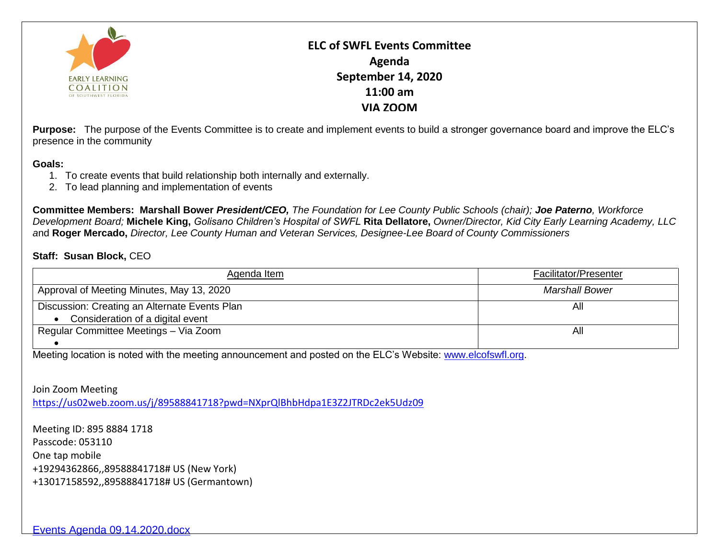

**ELC of SWFL Events Committee Agenda September 14, 2020 11:00 am VIA ZOOM**

**Purpose:** The purpose of the Events Committee is to create and implement events to build a stronger governance board and improve the ELC's presence in the community

## **Goals:**

- 1. To create events that build relationship both internally and externally.
- 2. To lead planning and implementation of events

**Committee Members: Marshall Bower** *President/CEO, The Foundation for Lee County Public Schools (chair); Joe Paterno, Workforce Development Board;* **Michele King,** *Golisano Children's Hospital of SWFL* **Rita Dellatore,** *Owner/Director, Kid City Early Learning Academy, LLC a*nd **Roger Mercado,** *Director, Lee County Human and Veteran Services, Designee-Lee Board of County Commissioners*

## **Staff: Susan Block,** CEO

| Agenda Item                                   | <b>Facilitator/Presenter</b> |
|-----------------------------------------------|------------------------------|
| Approval of Meeting Minutes, May 13, 2020     | <b>Marshall Bower</b>        |
| Discussion: Creating an Alternate Events Plan | All                          |
| Consideration of a digital event              |                              |
| Regular Committee Meetings - Via Zoom         | All                          |
|                                               |                              |

Meeting location is noted with the meeting announcement and posted on the ELC's Website: [www.elcofswfl.org.](http://www.elcofswfl.org/)

Join Zoom Meeting <https://us02web.zoom.us/j/89588841718?pwd=NXprQlBhbHdpa1E3Z2JTRDc2ek5Udz09>

Meeting ID: 895 8884 1718 Passcode: 053110 One tap mobile +19294362866,,89588841718# US (New York) +13017158592,,89588841718# US (Germantown)